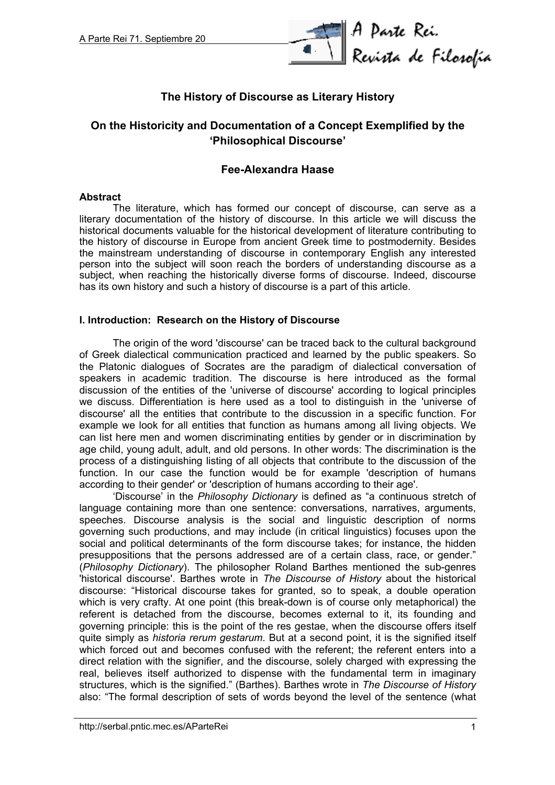

# **The History of Discourse as Literary History**

# **On the Historicity and Documentation of a Concept Exemplified by the 'Philosophical Discourse'**

## **Fee-Alexandra Haase**

#### **Abstract**

The literature, which has formed our concept of discourse, can serve as a literary documentation of the history of discourse. In this article we will discuss the historical documents valuable for the historical development of literature contributing to the history of discourse in Europe from ancient Greek time to postmodernity. Besides the mainstream understanding of discourse in contemporary English any interested person into the subject will soon reach the borders of understanding discourse as a subject, when reaching the historically diverse forms of discourse. Indeed, discourse has its own history and such a history of discourse is a part of this article.

### **I. Introduction: Research on the History of Discourse**

The origin of the word 'discourse' can be traced back to the cultural background of Greek dialectical communication practiced and learned by the public speakers. So the Platonic dialogues of Socrates are the paradigm of dialectical conversation of speakers in academic tradition. The discourse is here introduced as the formal discussion of the entities of the 'universe of discourse' according to logical principles we discuss. Differentiation is here used as a tool to distinguish in the 'universe of discourse' all the entities that contribute to the discussion in a specific function. For example we look for all entities that function as humans among all living objects. We can list here men and women discriminating entities by gender or in discrimination by age child, young adult, adult, and old persons. In other words: The discrimination is the process of a distinguishing listing of all objects that contribute to the discussion of the function. In our case the function would be for example 'description of humans according to their gender' or 'description of humans according to their age'.

'Discourse' in the *Philosophy Dictionary* is defined as "a continuous stretch of language containing more than one sentence: conversations, narratives, arguments, speeches. Discourse analysis is the social and linguistic description of norms governing such productions, and may include (in critical linguistics) focuses upon the social and political determinants of the form discourse takes; for instance, the hidden presuppositions that the persons addressed are of a certain class, race, or gender." (*Philosophy Dictionary*). The philosopher Roland Barthes mentioned the sub-genres 'historical discourse'. Barthes wrote in *The Discourse of History* about the historical discourse: "Historical discourse takes for granted, so to speak, a double operation which is very crafty. At one point (this break-down is of course only metaphorical) the referent is detached from the discourse, becomes external to it, its founding and governing principle: this is the point of the res gestae, when the discourse offers itself quite simply as *historia rerum gestarum*. But at a second point, it is the signified itself which forced out and becomes confused with the referent; the referent enters into a direct relation with the signifier, and the discourse, solely charged with expressing the real, believes itself authorized to dispense with the fundamental term in imaginary structures, which is the signified." (Barthes). Barthes wrote in *The Discourse of History* also: "The formal description of sets of words beyond the level of the sentence (what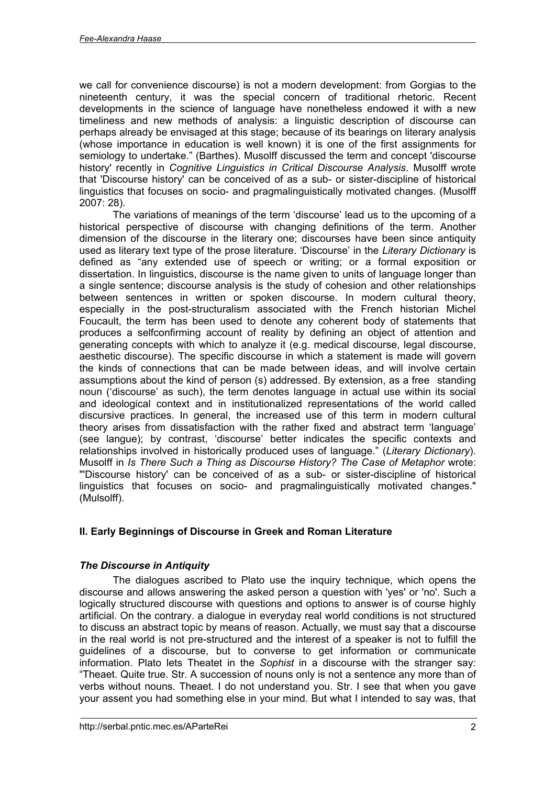we call for convenience discourse) is not a modern development: from Gorgias to the nineteenth century, it was the special concern of traditional rhetoric. Recent developments in the science of language have nonetheless endowed it with a new timeliness and new methods of analysis: a linguistic description of discourse can perhaps already be envisaged at this stage; because of its bearings on literary analysis (whose importance in education is well known) it is one of the first assignments for semiology to undertake." (Barthes). Musolff discussed the term and concept 'discourse history' recently in *Cognitive Linguistics in Critical Discourse Analysis*. Musolff wrote that 'Discourse history' can be conceived of as a sub- or sister-discipline of historical linguistics that focuses on socio- and pragmalinguistically motivated changes. (Musolff 2007: 28).

The variations of meanings of the term 'discourse' lead us to the upcoming of a historical perspective of discourse with changing definitions of the term. Another dimension of the discourse in the literary one; discourses have been since antiquity used as literary text type of the prose literature. 'Discourse' in the *Literary Dictionary* is defined as "any extended use of speech or writing; or a formal exposition or dissertation. In linguistics, discourse is the name given to units of language longer than a single sentence; discourse analysis is the study of cohesion and other relationships between sentences in written or spoken discourse. In modern cultural theory, especially in the post-structuralism associated with the French historian Michel Foucault, the term has been used to denote any coherent body of statements that produces a selfconfirming account of reality by defining an object of attention and generating concepts with which to analyze it (e.g. medical discourse, legal discourse, aesthetic discourse). The specific discourse in which a statement is made will govern the kinds of connections that can be made between ideas, and will involve certain assumptions about the kind of person (s) addressed. By extension, as a free standing noun ('discourse' as such), the term denotes language in actual use within its social and ideological context and in institutionalized representations of the world called discursive practices. In general, the increased use of this term in modern cultural theory arises from dissatisfaction with the rather fixed and abstract term 'language' (see langue); by contrast, 'discourse' better indicates the specific contexts and relationships involved in historically produced uses of language." (*Literary Dictionary*). Musolff in *Is There Such a Thing as Discourse History? The Case of Metaphor* wrote: "'Discourse history' can be conceived of as a sub- or sister-discipline of historical linguistics that focuses on socio- and pragmalinguistically motivated changes." (Mulsolff).

# **II. Early Beginnings of Discourse in Greek and Roman Literature**

## *The Discourse in Antiquity*

The dialogues ascribed to Plato use the inquiry technique, which opens the discourse and allows answering the asked person a question with 'yes' or 'no'. Such a logically structured discourse with questions and options to answer is of course highly artificial. On the contrary. a dialogue in everyday real world conditions is not structured to discuss an abstract topic by means of reason. Actually, we must say that a discourse in the real world is not pre-structured and the interest of a speaker is not to fulfill the guidelines of a discourse, but to converse to get information or communicate information. Plato lets Theatet in the *Sophist* in a discourse with the stranger say: "Theaet. Quite true. Str. A succession of nouns only is not a sentence any more than of verbs without nouns. Theaet. I do not understand you. Str. I see that when you gave your assent you had something else in your mind. But what I intended to say was, that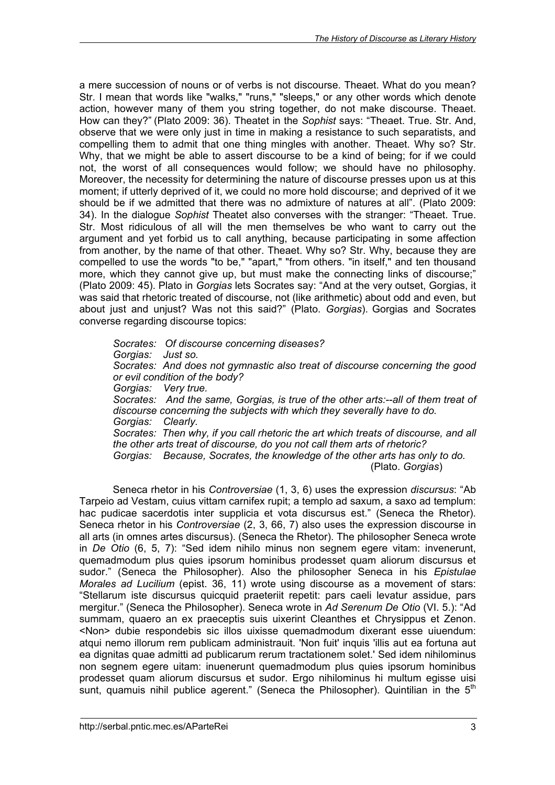a mere succession of nouns or of verbs is not discourse. Theaet. What do you mean? Str. I mean that words like "walks," "runs," "sleeps," or any other words which denote action, however many of them you string together, do not make discourse. Theaet. How can they?" (Plato 2009: 36). Theatet in the *Sophist* says: "Theaet. True. Str. And, observe that we were only just in time in making a resistance to such separatists, and compelling them to admit that one thing mingles with another. Theaet. Why so? Str. Why, that we might be able to assert discourse to be a kind of being; for if we could not, the worst of all consequences would follow; we should have no philosophy. Moreover, the necessity for determining the nature of discourse presses upon us at this moment; if utterly deprived of it, we could no more hold discourse; and deprived of it we should be if we admitted that there was no admixture of natures at all". (Plato 2009: 34). In the dialogue *Sophist* Theatet also converses with the stranger: "Theaet. True. Str. Most ridiculous of all will the men themselves be who want to carry out the argument and yet forbid us to call anything, because participating in some affection from another, by the name of that other. Theaet. Why so? Str. Why, because they are compelled to use the words "to be," "apart," "from others. "in itself," and ten thousand more, which they cannot give up, but must make the connecting links of discourse;" (Plato 2009: 45). Plato in *Gorgias* lets Socrates say: "And at the very outset, Gorgias, it was said that rhetoric treated of discourse, not (like arithmetic) about odd and even, but about just and unjust? Was not this said?" (Plato. *Gorgias*). Gorgias and Socrates converse regarding discourse topics:

*Socrates: Of discourse concerning diseases? Gorgias: Just so. Socrates: And does not gymnastic also treat of discourse concerning the good or evil condition of the body? Gorgias: Very true. Socrates: And the same, Gorgias, is true of the other arts:--all of them treat of discourse concerning the subjects with which they severally have to do. Gorgias: Clearly. Socrates: Then why, if you call rhetoric the art which treats of discourse, and all the other arts treat of discourse, do you not call them arts of rhetoric? Gorgias: Because, Socrates, the knowledge of the other arts has only to do.* (Plato. *Gorgias*)

Seneca rhetor in his *Controversiae* (1, 3, 6) uses the expression *discursus*: "Ab Tarpeio ad Vestam, cuius vittam carnifex rupit; a templo ad saxum, a saxo ad templum: hac pudicae sacerdotis inter supplicia et vota discursus est." (Seneca the Rhetor). Seneca rhetor in his *Controversiae* (2, 3, 66, 7) also uses the expression discourse in all arts (in omnes artes discursus). (Seneca the Rhetor). The philosopher Seneca wrote in *De Otio* (6, 5, 7): "Sed idem nihilo minus non segnem egere vitam: invenerunt, quemadmodum plus quies ipsorum hominibus prodesset quam aliorum discursus et sudor." (Seneca the Philosopher). Also the philosopher Seneca in his *Epistulae Morales ad Lucilium* (epist. 36, 11) wrote using discourse as a movement of stars: "Stellarum iste discursus quicquid praeteriit repetit: pars caeli levatur assidue, pars mergitur." (Seneca the Philosopher). Seneca wrote in *Ad Serenum De Otio* (VI. 5.): "Ad summam, quaero an ex praeceptis suis uixerint Cleanthes et Chrysippus et Zenon. <Non> dubie respondebis sic illos uixisse quemadmodum dixerant esse uiuendum: atqui nemo illorum rem publicam administrauit. 'Non fuit' inquis 'illis aut ea fortuna aut ea dignitas quae admitti ad publicarum rerum tractationem solet.' Sed idem nihilominus non segnem egere uitam: inuenerunt quemadmodum plus quies ipsorum hominibus prodesset quam aliorum discursus et sudor. Ergo nihilominus hi multum egisse uisi sunt, quamuis nihil publice agerent." (Seneca the Philosopher). Quintilian in the 5<sup>th</sup>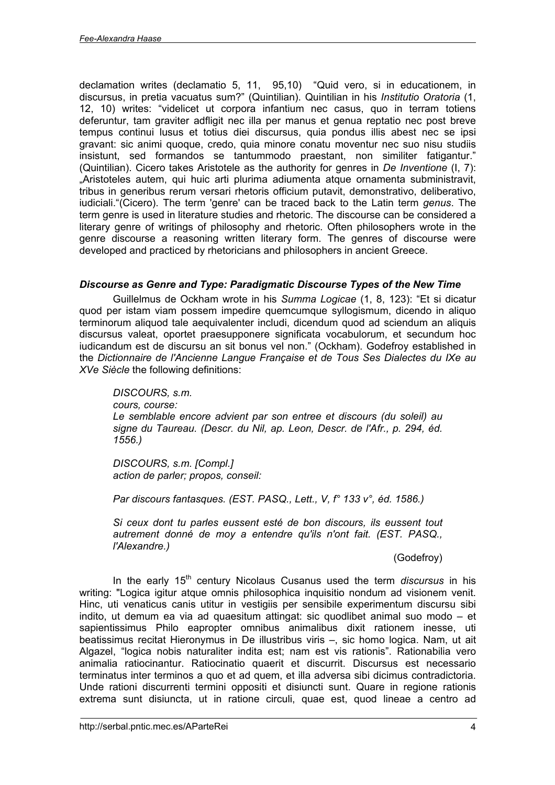declamation writes (declamatio 5, 11, 95,10) "Quid vero, si in educationem, in discursus, in pretia vacuatus sum?" (Quintilian). Quintilian in his *Institutio Oratoria* (1, 12, 10) writes: "videlicet ut corpora infantium nec casus, quo in terram totiens deferuntur, tam graviter adfligit nec illa per manus et genua reptatio nec post breve tempus continui lusus et totius diei discursus, quia pondus illis abest nec se ipsi gravant: sic animi quoque, credo, quia minore conatu moventur nec suo nisu studiis insistunt, sed formandos se tantummodo praestant, non similiter fatigantur." (Quintilian). Cicero takes Aristotele as the authority for genres in *De Inventione* (I, 7): "Aristoteles autem, qui huic arti plurima adiumenta atque ornamenta subministravit, tribus in generibus rerum versari rhetoris officium putavit, demonstrativo, deliberativo, iudiciali."(Cicero). The term 'genre' can be traced back to the Latin term *genus*. The term genre is used in literature studies and rhetoric. The discourse can be considered a literary genre of writings of philosophy and rhetoric. Often philosophers wrote in the genre discourse a reasoning written literary form. The genres of discourse were developed and practiced by rhetoricians and philosophers in ancient Greece.

### *Discourse as Genre and Type: Paradigmatic Discourse Types of the New Time*

Guillelmus de Ockham wrote in his *Summa Logicae* (1, 8, 123): "Et si dicatur quod per istam viam possem impedire quemcumque syllogismum, dicendo in aliquo terminorum aliquod tale aequivalenter includi, dicendum quod ad sciendum an aliquis discursus valeat, oportet praesupponere significata vocabulorum, et secundum hoc iudicandum est de discursu an sit bonus vel non." (Ockham). Godefroy established in the *Dictionnaire de l'Ancienne Langue Française et de Tous Ses Dialectes du IXe au XVe Siècle* the following definitions:

*DISCOURS, s.m. cours, course: Le semblable encore advient par son entree et discours (du soleil) au signe du Taureau. (Descr. du Nil, ap. Leon, Descr. de l'Afr., p. 294, éd. 1556.)*

*DISCOURS, s.m. [Compl.] action de parler; propos, conseil:*

*Par discours fantasques. (EST. PASQ., Lett., V, f° 133 v°, éd. 1586.)*

*Si ceux dont tu parles eussent esté de bon discours, ils eussent tout autrement donné de moy a entendre qu'ils n'ont fait. (EST. PASQ., l'Alexandre.)*

(Godefroy)

In the early 15<sup>th</sup> century Nicolaus Cusanus used the term *discursus* in his writing: "Logica igitur atque omnis philosophica inquisitio nondum ad visionem venit. Hinc, uti venaticus canis utitur in vestigiis per sensibile experimentum discursu sibi indito, ut demum ea via ad quaesitum attingat: sic quodlibet animal suo modo – et sapientissimus Philo eapropter omnibus animalibus dixit rationem inesse, uti beatissimus recitat Hieronymus in De illustribus viris –, sic homo logica. Nam, ut ait Algazel, "logica nobis naturaliter indita est; nam est vis rationis". Rationabilia vero animalia ratiocinantur. Ratiocinatio quaerit et discurrit. Discursus est necessario terminatus inter terminos a quo et ad quem, et illa adversa sibi dicimus contradictoria. Unde rationi discurrenti termini oppositi et disiuncti sunt. Quare in regione rationis extrema sunt disiuncta, ut in ratione circuli, quae est, quod lineae a centro ad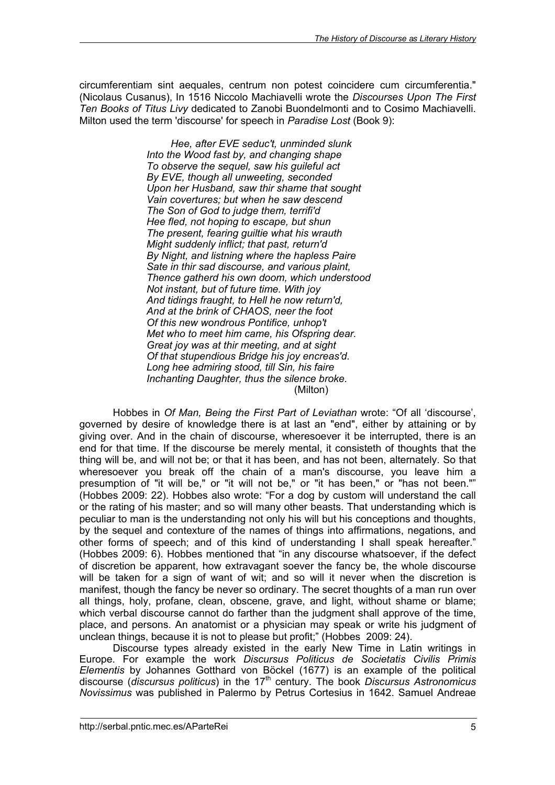circumferentiam sint aequales, centrum non potest coincidere cum circumferentia." (Nicolaus Cusanus), In 1516 Niccolo Machiavelli wrote the *Discourses Upon The First Ten Books of Titus Livy* dedicated to Zanobi Buondelmonti and to Cosimo Machiavelli. Milton used the term 'discourse' for speech in *Paradise Lost* (Book 9):

> *Hee, after EVE seduc't, unminded slunk Into the Wood fast by, and changing shape To observe the sequel, saw his guileful act By EVE, though all unweeting, seconded Upon her Husband, saw thir shame that sought Vain covertures; but when he saw descend The Son of God to judge them, terrifi'd Hee fled, not hoping to escape, but shun The present, fearing guiltie what his wrauth Might suddenly inflict; that past, return'd By Night, and listning where the hapless Paire Sate in thir sad discourse, and various plaint, Thence gatherd his own doom, which understood Not instant, but of future time. With joy And tidings fraught, to Hell he now return'd, And at the brink of CHAOS, neer the foot Of this new wondrous Pontifice, unhop't Met who to meet him came, his Ofspring dear. Great joy was at thir meeting, and at sight Of that stupendious Bridge his joy encreas'd. Long hee admiring stood, till Sin, his faire Inchanting Daughter, thus the silence broke.* (Milton)

Hobbes in *Of Man, Being the First Part of Leviathan* wrote: "Of all 'discourse', governed by desire of knowledge there is at last an "end", either by attaining or by giving over. And in the chain of discourse, wheresoever it be interrupted, there is an end for that time. If the discourse be merely mental, it consisteth of thoughts that the thing will be, and will not be; or that it has been, and has not been, alternately. So that wheresoever you break off the chain of a man's discourse, you leave him a presumption of "it will be," or "it will not be," or "it has been," or "has not been."" (Hobbes 2009: 22). Hobbes also wrote: "For a dog by custom will understand the call or the rating of his master; and so will many other beasts. That understanding which is peculiar to man is the understanding not only his will but his conceptions and thoughts, by the sequel and contexture of the names of things into affirmations, negations, and other forms of speech; and of this kind of understanding I shall speak hereafter." (Hobbes 2009: 6). Hobbes mentioned that "in any discourse whatsoever, if the defect of discretion be apparent, how extravagant soever the fancy be, the whole discourse will be taken for a sign of want of wit; and so will it never when the discretion is manifest, though the fancy be never so ordinary. The secret thoughts of a man run over all things, holy, profane, clean, obscene, grave, and light, without shame or blame; which verbal discourse cannot do farther than the judgment shall approve of the time, place, and persons. An anatomist or a physician may speak or write his judgment of unclean things, because it is not to please but profit;" (Hobbes 2009: 24).

Discourse types already existed in the early New Time in Latin writings in Europe. For example the work *Discursus Politicus de Societatis Civilis Primis Elementis* by Johannes Gotthard von Böckel (1677) is an example of the political discourse (*discursus politicus*) in the 17th century. The book *Discursus Astronomicus Novissimus* was published in Palermo by Petrus Cortesius in 1642. Samuel Andreae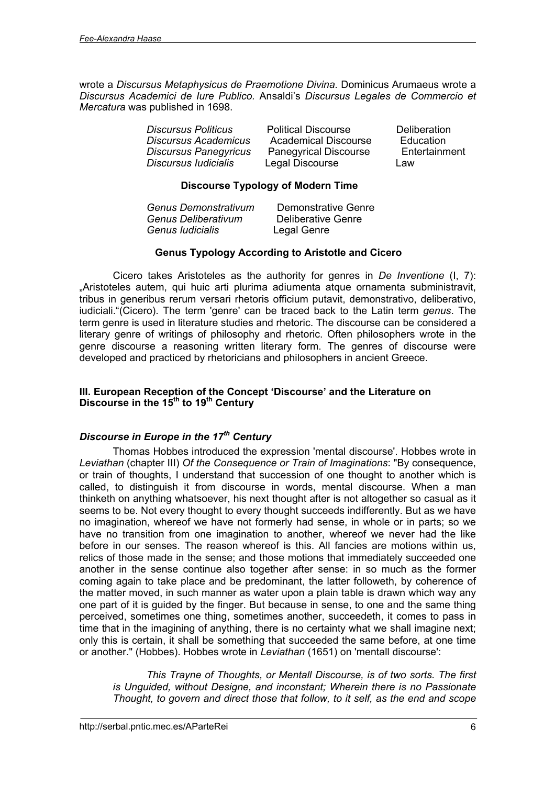wrote a *Discursus Metaphysicus de Praemotione Divina.* Dominicus Arumaeus wrote a *Discursus Academici de Iure Publico.* Ansaldi's *Discursus Legales de Commercio et Mercatura* was published in 1698.

| <b>Discursus Politicus</b>   | <b>Political Discourse</b>   | <b>Deliberation</b> |
|------------------------------|------------------------------|---------------------|
| <b>Discursus Academicus</b>  | <b>Academical Discourse</b>  | Education           |
| <b>Discursus Panegyricus</b> | <b>Panegyrical Discourse</b> | Entertainment       |
| Discursus Iudicialis         | Legal Discourse              | Law                 |

### **Discourse Typology of Modern Time**

| Genus Demonstrativum | Demonstrative Genre |
|----------------------|---------------------|
| Genus Deliberativum  | Deliberative Genre  |
| Genus Iudicialis     | Legal Genre         |

### **Genus Typology According to Aristotle and Cicero**

Cicero takes Aristoteles as the authority for genres in *De Inventione* (I, 7): "Aristoteles autem, qui huic arti plurima adiumenta atque ornamenta subministravit, tribus in generibus rerum versari rhetoris officium putavit, demonstrativo, deliberativo, iudiciali."(Cicero). The term 'genre' can be traced back to the Latin term *genus*. The term genre is used in literature studies and rhetoric. The discourse can be considered a literary genre of writings of philosophy and rhetoric. Often philosophers wrote in the genre discourse a reasoning written literary form. The genres of discourse were developed and practiced by rhetoricians and philosophers in ancient Greece.

### **III. European Reception of the Concept 'Discourse' and the Literature on Discourse in the 15th to 19th Century**

## *Discourse in Europe in the 17th Century*

Thomas Hobbes introduced the expression 'mental discourse'. Hobbes wrote in *Leviathan* (chapter III) *Of the Consequence or Train of Imaginations*: "By consequence, or train of thoughts, I understand that succession of one thought to another which is called, to distinguish it from discourse in words, mental discourse. When a man thinketh on anything whatsoever, his next thought after is not altogether so casual as it seems to be. Not every thought to every thought succeeds indifferently. But as we have no imagination, whereof we have not formerly had sense, in whole or in parts; so we have no transition from one imagination to another, whereof we never had the like before in our senses. The reason whereof is this. All fancies are motions within us, relics of those made in the sense; and those motions that immediately succeeded one another in the sense continue also together after sense: in so much as the former coming again to take place and be predominant, the latter followeth, by coherence of the matter moved, in such manner as water upon a plain table is drawn which way any one part of it is guided by the finger. But because in sense, to one and the same thing perceived, sometimes one thing, sometimes another, succeedeth, it comes to pass in time that in the imagining of anything, there is no certainty what we shall imagine next; only this is certain, it shall be something that succeeded the same before, at one time or another." (Hobbes). Hobbes wrote in *Leviathan* (1651) on 'mentall discourse':

*This Trayne of Thoughts, or Mentall Discourse, is of two sorts. The first is Unguided, without Designe, and inconstant; Wherein there is no Passionate Thought, to govern and direct those that follow, to it self, as the end and scope*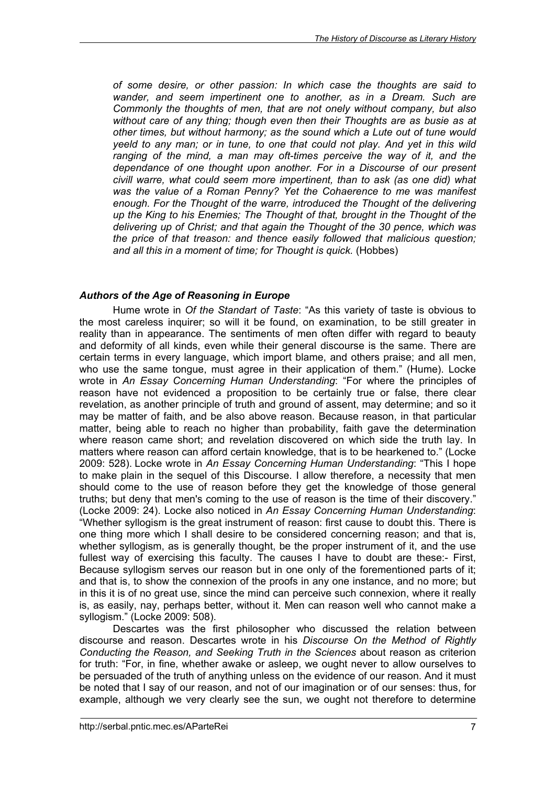*of some desire, or other passion: In which case the thoughts are said to wander, and seem impertinent one to another, as in a Dream. Such are Commonly the thoughts of men, that are not onely without company, but also without care of any thing; though even then their Thoughts are as busie as at other times, but without harmony; as the sound which a Lute out of tune would yeeld to any man; or in tune, to one that could not play. And yet in this wild ranging of the mind, a man may oft-times perceive the way of it, and the dependance of one thought upon another. For in a Discourse of our present civill warre, what could seem more impertinent, than to ask (as one did) what was the value of a Roman Penny? Yet the Cohaerence to me was manifest enough. For the Thought of the warre, introduced the Thought of the delivering up the King to his Enemies; The Thought of that, brought in the Thought of the delivering up of Christ; and that again the Thought of the 30 pence, which was the price of that treason: and thence easily followed that malicious question; and all this in a moment of time; for Thought is quick.* (Hobbes)

### *Authors of the Age of Reasoning in Europe*

Hume wrote in *Of the Standart of Taste*: "As this variety of taste is obvious to the most careless inquirer; so will it be found, on examination, to be still greater in reality than in appearance. The sentiments of men often differ with regard to beauty and deformity of all kinds, even while their general discourse is the same. There are certain terms in every language, which import blame, and others praise; and all men, who use the same tongue, must agree in their application of them." (Hume). Locke wrote in *An Essay Concerning Human Understanding*: "For where the principles of reason have not evidenced a proposition to be certainly true or false, there clear revelation, as another principle of truth and ground of assent, may determine; and so it may be matter of faith, and be also above reason. Because reason, in that particular matter, being able to reach no higher than probability, faith gave the determination where reason came short; and revelation discovered on which side the truth lay. In matters where reason can afford certain knowledge, that is to be hearkened to." (Locke 2009: 528). Locke wrote in *An Essay Concerning Human Understanding*: "This I hope to make plain in the sequel of this Discourse. I allow therefore, a necessity that men should come to the use of reason before they get the knowledge of those general truths; but deny that men's coming to the use of reason is the time of their discovery." (Locke 2009: 24). Locke also noticed in *An Essay Concerning Human Understanding*: "Whether syllogism is the great instrument of reason: first cause to doubt this. There is one thing more which I shall desire to be considered concerning reason; and that is, whether syllogism, as is generally thought, be the proper instrument of it, and the use fullest way of exercising this faculty. The causes I have to doubt are these:- First, Because syllogism serves our reason but in one only of the forementioned parts of it; and that is, to show the connexion of the proofs in any one instance, and no more; but in this it is of no great use, since the mind can perceive such connexion, where it really is, as easily, nay, perhaps better, without it. Men can reason well who cannot make a syllogism." (Locke 2009: 508).

Descartes was the first philosopher who discussed the relation between discourse and reason. Descartes wrote in his *Discourse On the Method of Rightly Conducting the Reason, and Seeking Truth in the Sciences* about reason as criterion for truth: "For, in fine, whether awake or asleep, we ought never to allow ourselves to be persuaded of the truth of anything unless on the evidence of our reason. And it must be noted that I say of our reason, and not of our imagination or of our senses: thus, for example, although we very clearly see the sun, we ought not therefore to determine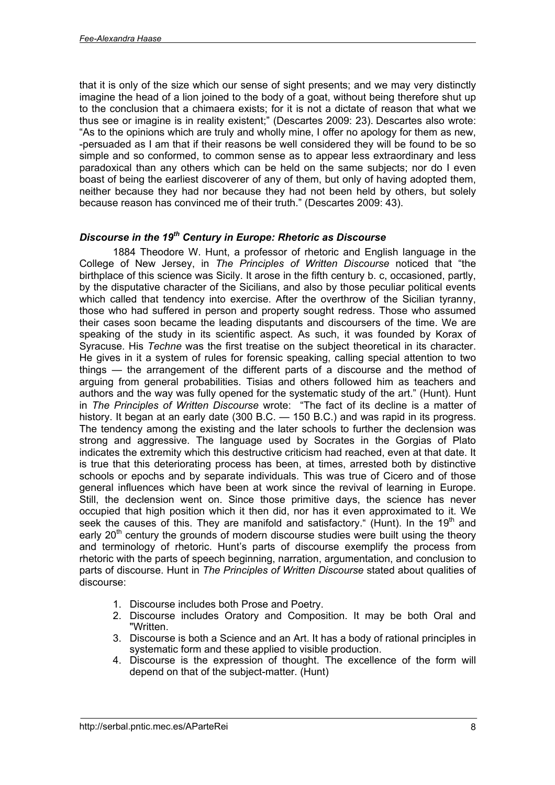that it is only of the size which our sense of sight presents; and we may very distinctly imagine the head of a lion joined to the body of a goat, without being therefore shut up to the conclusion that a chimaera exists; for it is not a dictate of reason that what we thus see or imagine is in reality existent;" (Descartes 2009: 23). Descartes also wrote: "As to the opinions which are truly and wholly mine, I offer no apology for them as new, -persuaded as I am that if their reasons be well considered they will be found to be so simple and so conformed, to common sense as to appear less extraordinary and less paradoxical than any others which can be held on the same subjects; nor do I even boast of being the earliest discoverer of any of them, but only of having adopted them, neither because they had nor because they had not been held by others, but solely because reason has convinced me of their truth." (Descartes 2009: 43).

### *Discourse in the 19th Century in Europe: Rhetoric as Discourse*

1884 Theodore W. Hunt, a professor of rhetoric and English language in the College of New Jersey, in *The Principles of Written Discourse* noticed that "the birthplace of this science was Sicily. It arose in the fifth century b. c, occasioned, partly, by the disputative character of the Sicilians, and also by those peculiar political events which called that tendency into exercise. After the overthrow of the Sicilian tyranny, those who had suffered in person and property sought redress. Those who assumed their cases soon became the leading disputants and discoursers of the time. We are speaking of the study in its scientific aspect. As such, it was founded by Korax of Syracuse. His *Techne* was the first treatise on the subject theoretical in its character. He gives in it a system of rules for forensic speaking, calling special attention to two things — the arrangement of the different parts of a discourse and the method of arguing from general probabilities. Tisias and others followed him as teachers and authors and the way was fully opened for the systematic study of the art." (Hunt). Hunt in *The Principles of Written Discourse* wrote: "The fact of its decline is a matter of history. It began at an early date (300 B.C. - 150 B.C.) and was rapid in its progress. The tendency among the existing and the later schools to further the declension was strong and aggressive. The language used by Socrates in the Gorgias of Plato indicates the extremity which this destructive criticism had reached, even at that date. It is true that this deteriorating process has been, at times, arrested both by distinctive schools or epochs and by separate individuals. This was true of Cicero and of those general influences which have been at work since the revival of learning in Europe. Still, the declension went on. Since those primitive days, the science has never occupied that high position which it then did, nor has it even approximated to it. We seek the causes of this. They are manifold and satisfactory." (Hunt). In the 19<sup>th</sup> and early  $20<sup>th</sup>$  century the grounds of modern discourse studies were built using the theory and terminology of rhetoric. Hunt's parts of discourse exemplify the process from rhetoric with the parts of speech beginning, narration, argumentation, and conclusion to parts of discourse. Hunt in *The Principles of Written Discourse* stated about qualities of discourse:

- 1. Discourse includes both Prose and Poetry.
- 2. Discourse includes Oratory and Composition. It may be both Oral and "Written.
- 3. Discourse is both a Science and an Art. It has a body of rational principles in systematic form and these applied to visible production.
- 4. Discourse is the expression of thought. The excellence of the form will depend on that of the subject-matter. (Hunt)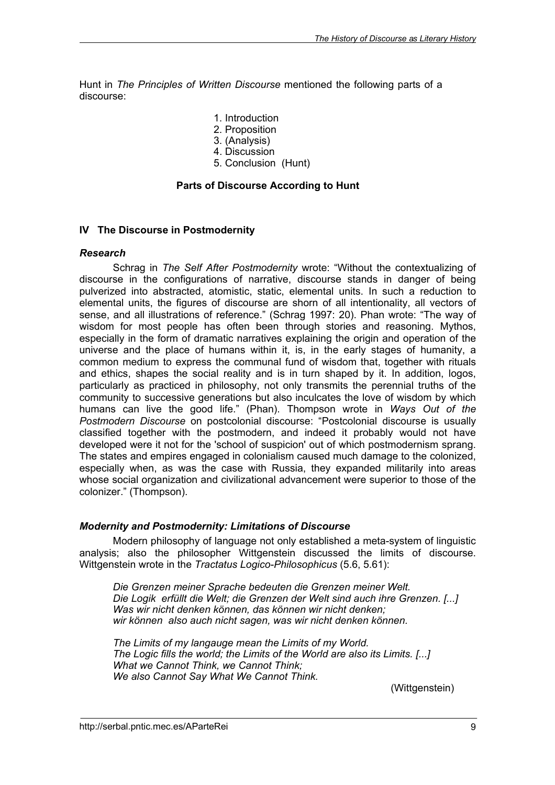Hunt in *The Principles of Written Discourse* mentioned the following parts of a discourse:

- 1. Introduction
- 2. Proposition
- 3. (Analysis)
- 4. Discussion
- 5. Conclusion (Hunt)

### **Parts of Discourse According to Hunt**

#### **IV The Discourse in Postmodernity**

#### *Research*

Schrag in *The Self After Postmodernity* wrote: "Without the contextualizing of discourse in the configurations of narrative, discourse stands in danger of being pulverized into abstracted, atomistic, static, elemental units. In such a reduction to elemental units, the figures of discourse are shorn of all intentionality, all vectors of sense, and all illustrations of reference." (Schrag 1997: 20). Phan wrote: "The way of wisdom for most people has often been through stories and reasoning. Mythos, especially in the form of dramatic narratives explaining the origin and operation of the universe and the place of humans within it, is, in the early stages of humanity, a common medium to express the communal fund of wisdom that, together with rituals and ethics, shapes the social reality and is in turn shaped by it. In addition, logos, particularly as practiced in philosophy, not only transmits the perennial truths of the community to successive generations but also inculcates the love of wisdom by which humans can live the good life." (Phan). Thompson wrote in *Ways Out of the Postmodern Discourse* on postcolonial discourse: "Postcolonial discourse is usually classified together with the postmodern, and indeed it probably would not have developed were it not for the 'school of suspicion' out of which postmodernism sprang. The states and empires engaged in colonialism caused much damage to the colonized, especially when, as was the case with Russia, they expanded militarily into areas whose social organization and civilizational advancement were superior to those of the colonizer." (Thompson).

### *Modernity and Postmodernity: Limitations of Discourse*

Modern philosophy of language not only established a meta-system of linguistic analysis; also the philosopher Wittgenstein discussed the limits of discourse. Wittgenstein wrote in the *Tractatus Logico-Philosophicus* (5.6, 5.61):

*Die Grenzen meiner Sprache bedeuten die Grenzen meiner Welt. Die Logik erfüllt die Welt; die Grenzen der Welt sind auch ihre Grenzen. [...] Was wir nicht denken können, das können wir nicht denken; wir können also auch nicht sagen, was wir nicht denken können.*

*The Limits of my langauge mean the Limits of my World. The Logic fills the world; the Limits of the World are also its Limits. [...] What we Cannot Think, we Cannot Think; We also Cannot Say What We Cannot Think.*

(Wittgenstein)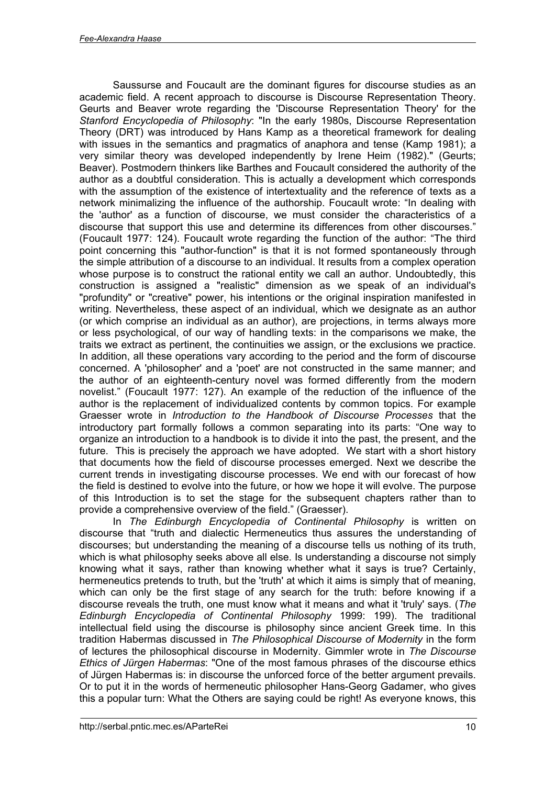Saussurse and Foucault are the dominant figures for discourse studies as an academic field. A recent approach to discourse is Discourse Representation Theory. Geurts and Beaver wrote regarding the 'Discourse Representation Theory' for the *Stanford Encyclopedia of Philosophy*: "In the early 1980s, Discourse Representation Theory (DRT) was introduced by Hans Kamp as a theoretical framework for dealing with issues in the semantics and pragmatics of anaphora and tense (Kamp 1981); a very similar theory was developed independently by Irene Heim (1982)." (Geurts; Beaver). Postmodern thinkers like Barthes and Foucault considered the authority of the author as a doubtful consideration. This is actually a development which corresponds with the assumption of the existence of intertextuality and the reference of texts as a network minimalizing the influence of the authorship. Foucault wrote: "In dealing with the 'author' as a function of discourse, we must consider the characteristics of a discourse that support this use and determine its differences from other discourses." (Foucault 1977: 124). Foucault wrote regarding the function of the author: "The third point concerning this "author-function" is that it is not formed spontaneously through the simple attribution of a discourse to an individual. It results from a complex operation whose purpose is to construct the rational entity we call an author. Undoubtedly, this construction is assigned a "realistic" dimension as we speak of an individual's "profundity" or "creative" power, his intentions or the original inspiration manifested in writing. Nevertheless, these aspect of an individual, which we designate as an author (or which comprise an individual as an author), are projections, in terms always more or less psychological, of our way of handling texts: in the comparisons we make, the traits we extract as pertinent, the continuities we assign, or the exclusions we practice. In addition, all these operations vary according to the period and the form of discourse concerned. A 'philosopher' and a 'poet' are not constructed in the same manner; and the author of an eighteenth-century novel was formed differently from the modern novelist." (Foucault 1977: 127). An example of the reduction of the influence of the author is the replacement of individualized contents by common topics. For example Graesser wrote in *Introduction to the Handbook of Discourse Processes* that the introductory part formally follows a common separating into its parts: "One way to organize an introduction to a handbook is to divide it into the past, the present, and the future. This is precisely the approach we have adopted. We start with a short history that documents how the field of discourse processes emerged. Next we describe the current trends in investigating discourse processes. We end with our forecast of how the field is destined to evolve into the future, or how we hope it will evolve. The purpose of this Introduction is to set the stage for the subsequent chapters rather than to provide a comprehensive overview of the field." (Graesser).

In *The Edinburgh Encyclopedia of Continental Philosophy* is written on discourse that "truth and dialectic Hermeneutics thus assures the understanding of discourses; but understanding the meaning of a discourse tells us nothing of its truth, which is what philosophy seeks above all else. Is understanding a discourse not simply knowing what it says, rather than knowing whether what it says is true? Certainly, hermeneutics pretends to truth, but the 'truth' at which it aims is simply that of meaning, which can only be the first stage of any search for the truth: before knowing if a discourse reveals the truth, one must know what it means and what it 'truly' says. (*The Edinburgh Encyclopedia of Continental Philosophy* 1999: 199). The traditional intellectual field using the discourse is philosophy since ancient Greek time. In this tradition Habermas discussed in *The Philosophical Discourse of Modernity* in the form of lectures the philosophical discourse in Modernity. Gimmler wrote in *The Discourse Ethics of Jürgen Habermas*: "One of the most famous phrases of the discourse ethics of Jürgen Habermas is: in discourse the unforced force of the better argument prevails. Or to put it in the words of hermeneutic philosopher Hans-Georg Gadamer, who gives this a popular turn: What the Others are saying could be right! As everyone knows, this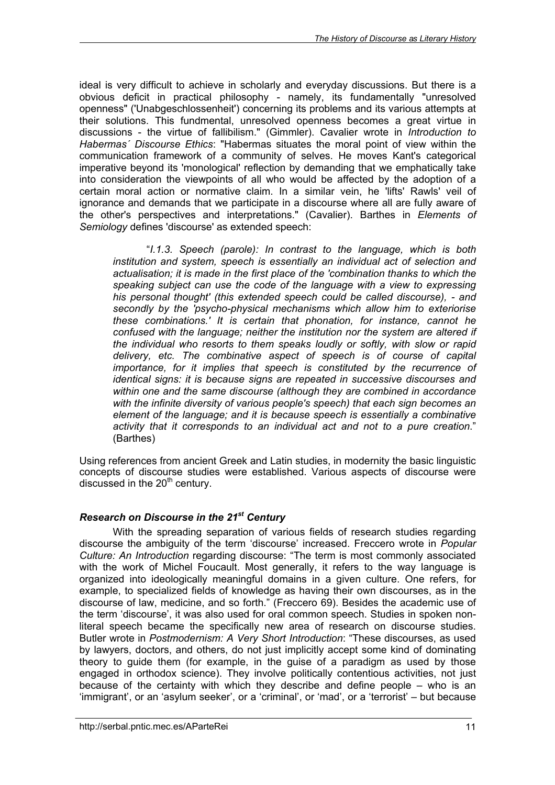ideal is very difficult to achieve in scholarly and everyday discussions. But there is a obvious deficit in practical philosophy - namely, its fundamentally "unresolved openness" ('Unabgeschlossenheit') concerning its problems and its various attempts at their solutions. This fundmental, unresolved openness becomes a great virtue in discussions - the virtue of fallibilism." (Gimmler). Cavalier wrote in *Introduction to Habermas´ Discourse Ethics*: "Habermas situates the moral point of view within the communication framework of a community of selves. He moves Kant's categorical imperative beyond its 'monological' reflection by demanding that we emphatically take into consideration the viewpoints of all who would be affected by the adoption of a certain moral action or normative claim. In a similar vein, he 'lifts' Rawls' veil of ignorance and demands that we participate in a discourse where all are fully aware of the other's perspectives and interpretations." (Cavalier). Barthes in *Elements of Semiology* defines 'discourse' as extended speech:

"*I.1.3. Speech (parole): In contrast to the language, which is both institution and system, speech is essentially an individual act of selection and actualisation; it is made in the first place of the 'combination thanks to which the speaking subject can use the code of the language with a view to expressing his personal thought' (this extended speech could be called discourse), - and secondly by the 'psycho-physical mechanisms which allow him to exteriorise these combinations.' It is certain that phonation, for instance, cannot he confused with the language; neither the institution nor the system are altered if the individual who resorts to them speaks loudly or softly, with slow or rapid delivery, etc. The combinative aspect of speech is of course of capital importance, for it implies that speech is constituted by the recurrence of identical signs: it is because signs are repeated in successive discourses and within one and the same discourse (although they are combined in accordance with the infinite diversity of various people's speech) that each sign becomes an element of the language; and it is because speech is essentially a combinative activity that it corresponds to an individual act and not to a pure creation*." (Barthes)

Using references from ancient Greek and Latin studies, in modernity the basic linguistic concepts of discourse studies were established. Various aspects of discourse were discussed in the  $20<sup>th</sup>$  century.

## *Research on Discourse in the 21st Century*

With the spreading separation of various fields of research studies regarding discourse the ambiguity of the term 'discourse' increased. Freccero wrote in *Popular Culture: An Introduction* regarding discourse: "The term is most commonly associated with the work of Michel Foucault. Most generally, it refers to the way language is organized into ideologically meaningful domains in a given culture. One refers, for example, to specialized fields of knowledge as having their own discourses, as in the discourse of law, medicine, and so forth." (Freccero 69). Besides the academic use of the term 'discourse', it was also used for oral common speech. Studies in spoken nonliteral speech became the specifically new area of research on discourse studies. Butler wrote in *Postmodernism: A Very Short Introduction*: "These discourses, as used by lawyers, doctors, and others, do not just implicitly accept some kind of dominating theory to guide them (for example, in the guise of a paradigm as used by those engaged in orthodox science). They involve politically contentious activities, not just because of the certainty with which they describe and define people – who is an 'immigrant', or an 'asylum seeker', or a 'criminal', or 'mad', or a 'terrorist' – but because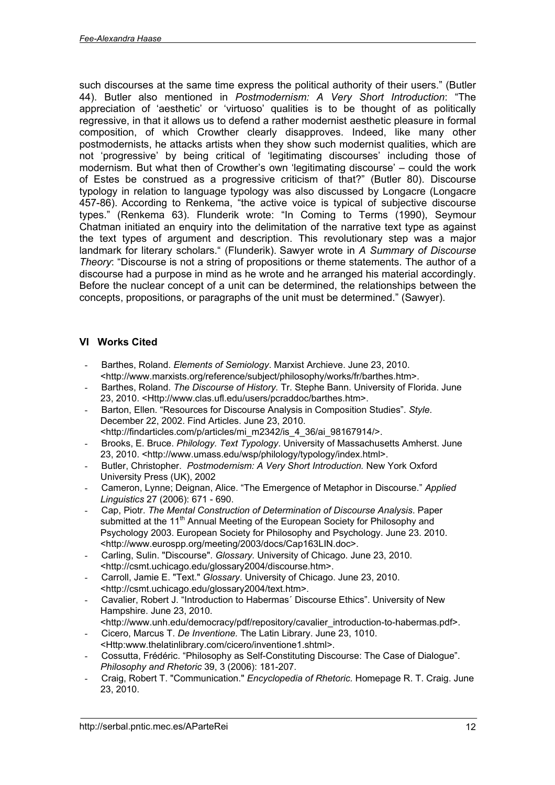such discourses at the same time express the political authority of their users." (Butler 44). Butler also mentioned in *Postmodernism: A Very Short Introduction*: "The appreciation of 'aesthetic' or 'virtuoso' qualities is to be thought of as politically regressive, in that it allows us to defend a rather modernist aesthetic pleasure in formal composition, of which Crowther clearly disapproves. Indeed, like many other postmodernists, he attacks artists when they show such modernist qualities, which are not 'progressive' by being critical of 'legitimating discourses' including those of modernism. But what then of Crowther's own 'legitimating discourse' – could the work of Estes be construed as a progressive criticism of that?" (Butler 80). Discourse typology in relation to language typology was also discussed by Longacre (Longacre 457-86). According to Renkema, "the active voice is typical of subjective discourse types." (Renkema 63). Flunderik wrote: "In Coming to Terms (1990), Seymour Chatman initiated an enquiry into the delimitation of the narrative text type as against the text types of argument and description. This revolutionary step was a major landmark for literary scholars." (Flunderik). Sawyer wrote in *A Summary of Discourse Theory*: "Discourse is not a string of propositions or theme statements. The author of a discourse had a purpose in mind as he wrote and he arranged his material accordingly. Before the nuclear concept of a unit can be determined, the relationships between the concepts, propositions, or paragraphs of the unit must be determined." (Sawyer).

## **VI Works Cited**

- Barthes, Roland. *Elements of Semiology*. Marxist Archieve. June 23, 2010. <<http://www.marxists.org/reference/subject/philosophy/works/fr/barthes.htm>>.
- Barthes, Roland. *The Discourse of History.* Tr. Stephe Bann. University of Florida. June 23, 2010. [<Http://www.clas.ufl.edu/users/pcraddoc/barthes.htm](Http://www.clas.ufl.edu/users/pcraddoc/barthes.htm)>.
- Barton, Ellen. "Resources for Discourse Analysis in Composition Studies". *Style*. December 22, 2002. Find Articles. June 23, 2010. <[http://findarticles.com/p/articles/mi\\_m2342/is\\_4\\_36/ai\\_98167914/](http://findarticles.com/p/articles/mi_m2342/is_4_36/ai_98167914/)>.
- Brooks, E. Bruce. *Philology. Text Typology*. University of Massachusetts Amherst. June 23, 2010. [<http://www.umass.edu/wsp/philology/typology/index.html](http://www.umass.edu/wsp/philology/typology/index.html)>.
- Butler, Christopher. *Postmodernism: A Very Short Introduction.* New York Oxford University Press (UK), 2002
- Cameron, Lynne; Deignan, Alice. "The Emergence of Metaphor in Discourse." *Applied Linguistics* 27 (2006): 671 - 690.
- Cap, Piotr. *The Mental Construction of Determination of Discourse Analysis*. Paper submitted at the 11<sup>th</sup> Annual Meeting of the European Society for Philosophy and Psychology 2003. European Society for Philosophy and Psychology. June 23. 2010. <<http://www.eurospp.org/meeting/2003/docs/Cap163LIN.doc>>.
- Carling, Sulin. "Discourse". *Glossary.* University of Chicago. June 23, 2010. <<http://csmt.uchicago.edu/glossary2004/discourse.htm>>.
- Carroll, Jamie E. "Text." *Glossary*. University of Chicago. June 23, 2010. <<http://csmt.uchicago.edu/glossary2004/text.htm>>.
- Cavalier, Robert J. "Introduction to Habermas´ Discourse Ethics". University of New Hampshire. June 23, 2010.
- <[http://www.unh.edu/democracy/pdf/repository/cavalier\\_introduction-to-habermas.pdf](http://www.unh.edu/democracy/pdf/repository/cavalier_introduction-to-habermas.pdf)>. - Cicero, Marcus T. *De Inventione.* The Latin Library. June 23, 1010.
- <Http:www.thelatinlibrary.com/cicero/inventione1.shtml>. - Cossutta, Frédéric. "Philosophy as Self-Constituting Discourse: The Case of Dialogue". *Philosophy and Rhetoric* 39, 3 (2006): 181-207.
- Craig, Robert T. "Communication." *Encyclopedia of Rhetoric.* Homepage R. T. Craig. June 23, 2010.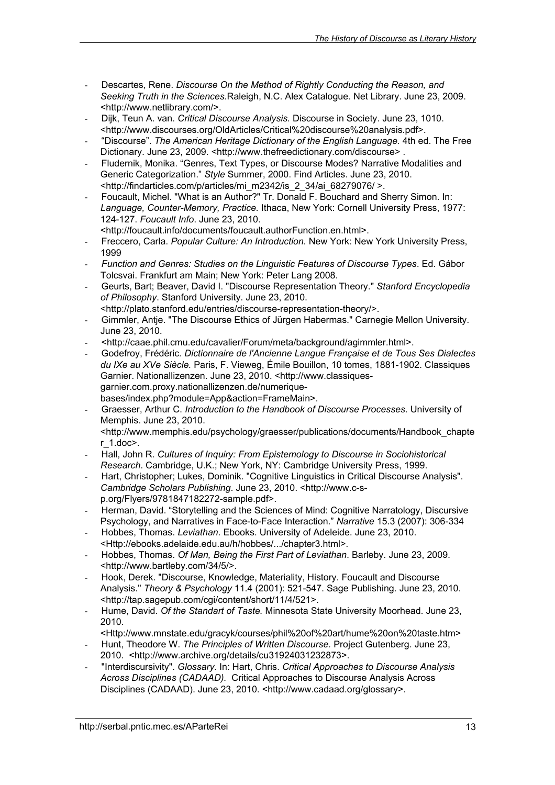- Descartes, Rene. *Discourse On the Method of Rightly Conducting the Reason, and Seeking Truth in the Sciences.*Raleigh, N.C. Alex Catalogue. Net Library. June 23, 2009. <<http://www.netlibrary.com/>>.
- Dijk, Teun A. van. *Critical Discourse Analysis.* Discourse in Society. June 23, 1010. <<http://www.discourses.org/OldArticles/Critical%20discourse%20analysis.pdf>>.
- "Discourse". *The American Heritage Dictionary of the English Language.* 4th ed. The Free Dictionary. June 23, 2009. [<http://www.thefreedictionary.com/discourse>](http://www.thefreedictionary.com/discourse).
- Fludernik, Monika. "Genres, Text Types, or Discourse Modes? Narrative Modalities and Generic Categorization." *Style* Summer, 2000. Find Articles. June 23, 2010. <[http://findarticles.com/p/articles/mi\\_m2342/is\\_2\\_34/ai\\_68279076/](http://findarticles.com/p/articles/mi_m2342/is_2_34/ai_68279076/) >.
- Foucault, Michel. "What is an Author?" Tr. Donald F. Bouchard and Sherry Simon. In: *Language, Counter-Memory, Practice.* Ithaca, New York: Cornell University Press, 1977: 124-127. *Foucault Info*. June 23, 2010.
	- <<http://foucault.info/documents/foucault.authorFunction.en.html>>.
- Freccero, Carla. *Popular Culture: An Introduction.* New York: New York University Press, 1999
- *Function and Genres: Studies on the Linguistic Features of Discourse Types*. Ed. Gábor Tolcsvai. Frankfurt am Main; New York: Peter Lang 2008.
- Geurts, Bart; Beaver, David I. "Discourse Representation Theory." *Stanford Encyclopedia of Philosophy*. Stanford University. June 23, 2010.
- <<http://plato.stanford.edu/entries/discourse-representation-theory/>>.
- Gimmler, Antje. "The Discourse Ethics of Jürgen Habermas." Carnegie Mellon University. June 23, 2010.
- <<http://caae.phil.cmu.edu/cavalier/Forum/meta/background/agimmler.html>>.
- Godefroy, Frédéric*. Dictionnaire de l'Ancienne Langue Française et de Tous Ses Dialectes du IXe au XVe Siècle.* Paris, F. Vieweg, Émile Bouillon, 10 tomes, 1881-1902. Classiques [Garnier. Nationallizenzen. June 23, 2010. <http://www.classique](http://www.classiquesgarnier.com.proxy.nationallizenzen.de/numeriquebases/index.php?module=App&action=FrameMain)sgarnier.com.proxy.nationallizenzen.de/numeriquebases/index.php?module=App&action=FrameMain>.
- Graesser, Arthur C. *Introduction to the Handbook of Discourse Processes*. University of Memphis. June 23, 2010. <[http://www.memphis.edu/psychology/graesser/publications/documents/Handbook\\_chapte](http://www.memphis.edu/psychology/graesser/publications/documents/Handbook_chapte) r\_1.doc>.
- Hall, John R. *Cultures of Inquiry: From Epistemology to Discourse in Sociohistorical Research*. Cambridge, U.K.; New York, NY: Cambridge University Press, 1999.
- Hart, Christopher; Lukes, Dominik. "Cognitive Linguistics in Critical Discourse Analysis". *Cambridge Scholars Publishing*. June 23, 2010. <http://www.c-s[p.org/Flyers/9781847182272-sample.pdf>.](http://www.c-sp.org/Flyers/9781847182272-sample.pdf)
- Herman, David. "Storytelling and the Sciences of Mind: Cognitive Narratology, Discursive Psychology, and Narratives in Face-to-Face Interaction." *Narrative* 15.3 (2007): 306-334
- Hobbes, Thomas. *Leviathan*. Ebooks. University of Adeleide. June 23, 2010. <<Http://ebooks.adelaide.edu.au/h/hobbes/.../chapter3.html>>.
- Hobbes, Thomas. *Of Man, Being the First Part of Leviathan*. Barleby. June 23, 2009. <<http://www.bartleby.com/34/5/>>.
- Hook, Derek. "Discourse, Knowledge, Materiality, History. Foucault and Discourse Analysis." *Theory & Psychology* 11.4 (2001): 521-547. Sage Publishing. June 23, 2010. <<http://tap.sagepub.com/cgi/content/short/11/4/521>>.
- Hume, David. *Of the Standart of Taste.* Minnesota State University Moorhead. June 23, 2010.

<[Http://www.mnstate.edu/gracyk/courses/phil%20of%20art/hume%20on%20taste.htm>](Http://www.mnstate.edu/gracyk/courses/phil%20of%20art/hume%20on%20taste.htm)

- Hunt, Theodore W. *The Principles of Written Discourse.* Project Gutenberg. June 23, 2010. [<http://www.archive.org/details/cu31924031232873](http://www.archive.org/details/cu31924031232873)>.
- "Interdiscursivity". *Glossary.* In: Hart, Chris. *Critical Approaches to Discourse Analysis Across Disciplines (CADAAD).* Critical Approaches to Discourse Analysis Across Disciplines (CADAAD). June 23, 2010. [<http://www.cadaad.org/glossary>.](http://www.cadaad.org/glossary>.)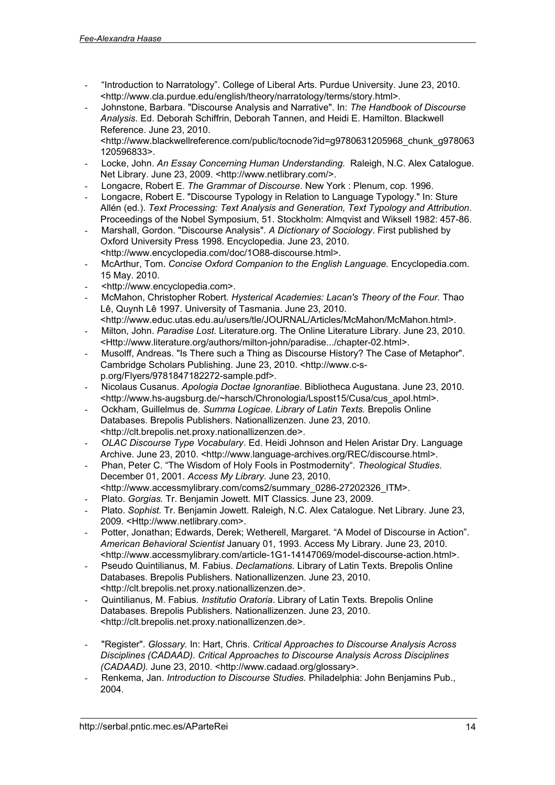- "Introduction to Narratology". College of Liberal Arts. Purdue University. June 23, 2010. <<http://www.cla.purdue.edu/english/theory/narratology/terms/story.html>>.
- Johnstone, Barbara. "Discourse Analysis and Narrative". In: *The Handbook of Discourse Analysis*. Ed. Deborah Schiffrin, Deborah Tannen, and Heidi E. Hamilton. Blackwell Reference. June 23, 2010. <[http://www.blackwellreference.com/public/tocnode?id=g9780631205968\\_chunk\\_g978063](http://www.blackwellreference.com/public/tocnode?id=g9780631205968_chunk_g978063) 120596833>.
- Locke, John. *An Essay Concerning Human Understanding.* Raleigh, N.C. Alex Catalogue. Net Library. June 23, 2009. [<http://www.netlibrary.com/](http://www.netlibrary.com/)>.
- Longacre, Robert E. *The Grammar of Discourse*. New York : Plenum, cop. 1996.
- Longacre, Robert E. "Discourse Typology in Relation to Language Typology." In: Sture Allén (ed.). *Text Processing: Text Analysis and Generation, Text Typology and Attribution*. Proceedings of the Nobel Symposium, 51. Stockholm: Almqvist and Wiksell 1982: 457-86.
- Marshall, Gordon. "Discourse Analysis". *A Dictionary of Sociology*. First published by Oxford University Press 1998. Encyclopedia. June 23, 2010. <<http://www.encyclopedia.com/doc/1O88-discourse.html>>.
- McArthur, Tom. *Concise Oxford Companion to the English Language.* Encyclopedia.com. 15 May. 2010.
- <<http://www.encyclopedia.com>>.
- McMahon, Christopher Robert. *Hysterical Academies: Lacan's Theory of the Four.* Thao Lê, Quynh Lê 1997. University of Tasmania. June 23, 2010.
- <<http://www.educ.utas.edu.au/users/tle/JOURNAL/Articles/McMahon/McMahon.html>>. - Milton, John. *Paradise Lost.* Literature.org. The Online Literature Library. June 23, 2010.
- <<Http://www.literature.org/authors/milton-john/paradise.../chapter-02.html>>. - Musolff, Andreas. "Is There such a Thing as Discourse History? The Case of Metaphor".
- [Cambridge Scholars Publishing. June 23, 2010. <http://www.c-](http://www.c-sp.org/Flyers/9781847182272-sample.pdf)sp.org/Flyers/9781847182272-sample.pdf>.
- Nicolaus Cusanus. *Apologia Doctae Ignorantiae*. Bibliotheca Augustana. June 23, 2010. <[http://www.hs-augsburg.de/~harsch/Chronologia/Lspost15/Cusa/cus\\_apol.html](http://www.hs-augsburg.de/~harsch/Chronologia/Lspost15/Cusa/cus_apol.html)>.
- Ockham, Guillelmus de. *Summa Logicae. Library of Latin Texts.* Brepolis Online Databases. Brepolis Publishers. Nationallizenzen. June 23, 2010. <<http://clt.brepolis.net.proxy.nationallizenzen.de>>.
- *OLAC Discourse Type Vocabulary*. Ed. Heidi Johnson and Helen Aristar Dry. Language Archive. June 23, 2010. [<http://www.language-archives.org/REC/discourse.html](http://www.language-archives.org/REC/discourse.html)>.
- Phan, Peter C. "The Wisdom of Holy Fools in Postmodernity". *Theological Studies*. December 01, 2001. *Access My Library*. June 23, 2010. <[http://www.accessmylibrary.com/coms2/summary\\_0286-27202326\\_ITM](http://www.accessmylibrary.com/coms2/summary_0286-27202326_ITM)>.
- Plato. *Gorgias.* Tr. Benjamin Jowett. MIT Classics. June 23, 2009.
- Plato. *Sophist.* Tr. Benjamin Jowett. Raleigh, N.C. Alex Catalogue. Net Library. June 23, 2009. [<Http://www.netlibrary.com](Http://www.netlibrary.com)>.
- Potter, Jonathan; Edwards, Derek; Wetherell, Margaret. "A Model of Discourse in Action". *American Behavioral Scientist* January 01, 1993. Access My Library. June 23, 2010. <<http://www.accessmylibrary.com/article-1G1-14147069/model-discourse-action.html>>.
- Pseudo Quintilianus, M. Fabius. *Declamations.* Library of Latin Texts. Brepolis Online Databases. Brepolis Publishers. Nationallizenzen. June 23, 2010. <<http://clt.brepolis.net.proxy.nationallizenzen.de>>.
- Quintilianus, M. Fabius. *Institutio Oratoria*. Library of Latin Texts*.* Brepolis Online Databases. Brepolis Publishers. Nationallizenzen. June 23, 2010. <<http://clt.brepolis.net.proxy.nationallizenzen.de>>.
- "Register". *Glossary.* In: Hart, Chris. *Critical Approaches to Discourse Analysis Across Disciplines (CADAAD). Critical Approaches to Discourse Analysis Across Disciplines (CADAAD).* June 23, 2010. [<http://www.cadaad.org/glossary](http://www.cadaad.org/glossary)>.
- Renkema, Jan. *Introduction to Discourse Studies.* Philadelphia: John Benjamins Pub., 2004.